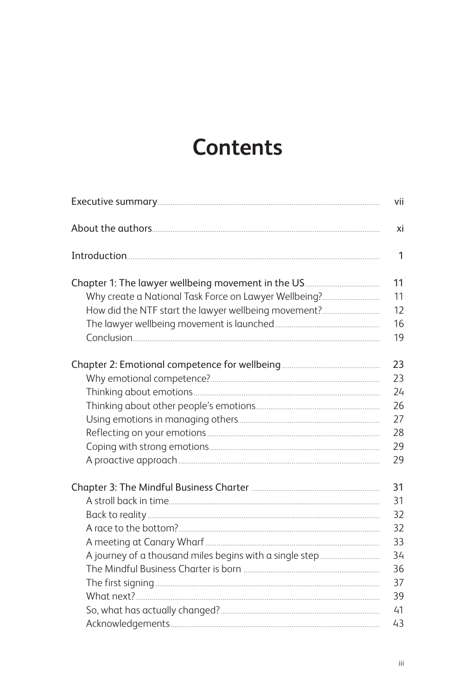## **Contents**

|                                                      | vii |
|------------------------------------------------------|-----|
|                                                      | xi  |
|                                                      | 1   |
|                                                      | 11  |
|                                                      | 11  |
| How did the NTF start the lawyer wellbeing movement? | 12  |
|                                                      | 16  |
|                                                      | 19  |
|                                                      | 23  |
|                                                      | 23  |
|                                                      | 24  |
|                                                      | 26  |
|                                                      | 27  |
|                                                      | 28  |
|                                                      | 29  |
|                                                      | 29  |
|                                                      | 31  |
|                                                      | 31  |
|                                                      | 32  |
|                                                      | 32  |
|                                                      | 33  |
|                                                      | 34  |
|                                                      | 36  |
|                                                      | 37  |
|                                                      | 39  |
|                                                      | 41  |
|                                                      | 43  |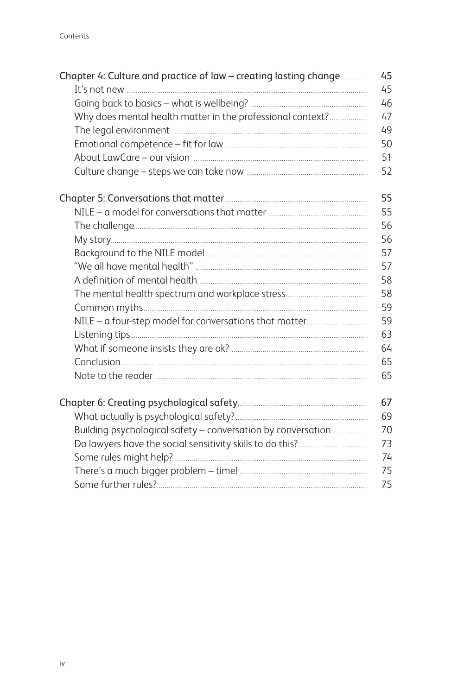| Chapter 4: Culture and practice of law - creating lasting change | 45 |
|------------------------------------------------------------------|----|
|                                                                  | 45 |
|                                                                  | 46 |
| Why does mental health matter in the professional context?       | 47 |
|                                                                  | 49 |
|                                                                  | 50 |
|                                                                  | 51 |
|                                                                  | 52 |
|                                                                  | 55 |
|                                                                  | 55 |
|                                                                  | 56 |
|                                                                  | 56 |
|                                                                  | 57 |
|                                                                  | 57 |
|                                                                  | 58 |
|                                                                  | 58 |
|                                                                  | 59 |
|                                                                  | 59 |
|                                                                  | 63 |
|                                                                  | 64 |
|                                                                  | 65 |
|                                                                  | 65 |
|                                                                  | 67 |
|                                                                  | 69 |
| Building psychological safety - conversation by conversation     | 70 |
|                                                                  | 73 |
|                                                                  | 74 |
|                                                                  | 75 |
|                                                                  | 75 |
|                                                                  |    |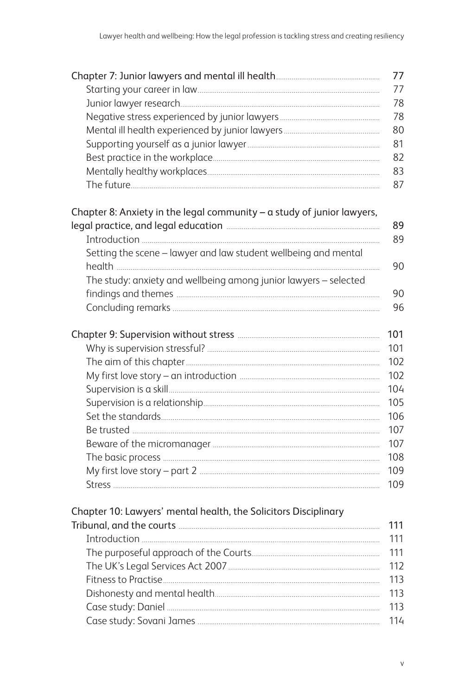|                                                                        | 77       |
|------------------------------------------------------------------------|----------|
|                                                                        | 77       |
|                                                                        | 78       |
|                                                                        | 78       |
|                                                                        | 80       |
|                                                                        | 81       |
|                                                                        | 82       |
|                                                                        | 83       |
|                                                                        | 87       |
| Chapter 8: Anxiety in the legal community - a study of junior lawyers, |          |
|                                                                        | 89       |
|                                                                        | 89       |
| Setting the scene - lawyer and law student wellbeing and mental        | 90       |
| The study: anxiety and wellbeing among junior lawyers - selected       |          |
|                                                                        |          |
|                                                                        | 90<br>96 |
|                                                                        |          |
|                                                                        | 101      |
|                                                                        | 101      |
|                                                                        | 102      |
|                                                                        | 102      |
|                                                                        | 104      |
|                                                                        | 105      |
|                                                                        | 106      |
|                                                                        | 107      |
|                                                                        | 107      |
|                                                                        | 108      |
|                                                                        | 109      |
|                                                                        | 109      |
| Chapter 10: Lawyers' mental health, the Solicitors Disciplinary        |          |
|                                                                        | 111      |
|                                                                        | 111      |
|                                                                        | 111      |
|                                                                        | 112      |
|                                                                        | 113      |
|                                                                        | 113      |
|                                                                        | 113      |
|                                                                        | 114      |
|                                                                        |          |